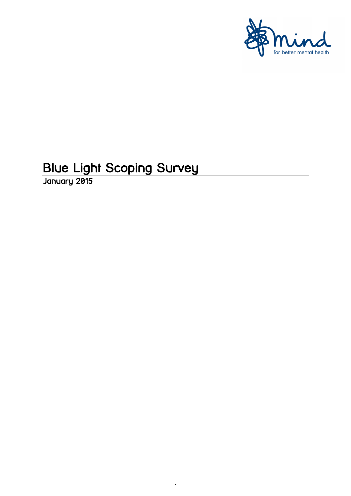

# **Blue Light Scoping Survey**<br>January 2015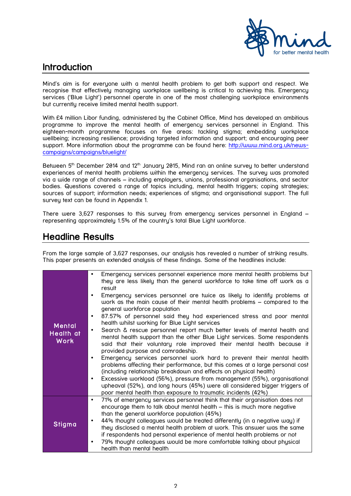

# Introduction

Mind's aim is for everyone with a mental health problem to get both support and respect. We recognise that effectively managing workplace wellbeing is critical to achieving this. Emergency services ('Blue Light') personnel operate in one of the most challenging workplace environments but currently receive limited mental health support.

With £4 million Libor funding, administered by the Cabinet Office, Mind has developed an ambitious programme to improve the mental health of emergency services personnel in England. This eighteen-month programme focuses on five areas: tackling stigma; embedding workplace wellbeing; increasing resilience; providing targeted information and support; and encouraging peer support. More information about the programme can be found here: http://www.mind.org.uk/newscampaigns/campaigns/bluelight/

Between 5<sup>th</sup> December 2014 and 12<sup>th</sup> January 2015, Mind ran an online survey to better understand experiences of mental health problems within the emergency services. The survey was promoted via a wide range of channels – including employers, unions, professional organisations, and sector bodies. Questions covered a range of topics including, mental health triggers; coping strategies; sources of support; information needs; experiences of stigma; and organisational support. The full survey text can be found in Appendix 1.

There were 3,627 responses to this survey from emergency services personnel in England – representing approximately 1.5% of the country's total Blue Light workforce.

# Headline Results

From the large sample of 3,627 responses, our analysis has revealed a number of striking results. This paper presents an extended analysis of these findings. Some of the headlines include:

|                                           | Emergency services personnel experience more mental health problems but<br>٠                                                                                                                                                                                                                                                                                                                                                                                              |
|-------------------------------------------|---------------------------------------------------------------------------------------------------------------------------------------------------------------------------------------------------------------------------------------------------------------------------------------------------------------------------------------------------------------------------------------------------------------------------------------------------------------------------|
|                                           | they are less likely than the general workforce to take time off work as a<br>result                                                                                                                                                                                                                                                                                                                                                                                      |
|                                           | Emergency services personnel are twice as likely to identify problems at<br>$\bullet$<br>work as the main cause of their mental health problems – compared to the<br>general workforce population                                                                                                                                                                                                                                                                         |
|                                           | 87.57% of personnel said they had experienced stress and poor mental<br>$\bullet$<br>health whilst working for Blue Light services                                                                                                                                                                                                                                                                                                                                        |
| <b>Mental</b><br>Health at<br><b>Work</b> | Search & rescue personnel report much better levels of mental health and<br>$\bullet$<br>mental health support than the other Blue Light services. Some respondents<br>said that their voluntary role improved their mental health because it<br>provided purpose and comradeship.                                                                                                                                                                                        |
|                                           | Emergency services personnel work hard to prevent their mental health<br>٠<br>problems affecting their performance, but this comes at a large personal cost<br>(including relationship breakdown and effects on physical health)<br>Excessive workload (56%), pressure from management (55%), organisational<br>$\bullet$<br>upheaval (52%), and long hours (45%) were all considered bigger triggers of<br>poor mental health than exposure to traumatic incidents (42%) |
|                                           | 71% of emergency services personnel think that their organisation does not<br>$\bullet$<br>encourage them to talk about mental health - this is much more negative<br>than the general workforce population (45%)                                                                                                                                                                                                                                                         |
| <b>Stigma</b>                             | 44% thought colleagues would be treated differently (in a negative way) if<br>$\bullet$<br>they disclosed a mental health problem at work. This answer was the same<br>if respondents had personal experience of mental health problems or not                                                                                                                                                                                                                            |
|                                           | 79% thought colleagues would be more comfortable talking about physical<br>٠<br>health than mental health                                                                                                                                                                                                                                                                                                                                                                 |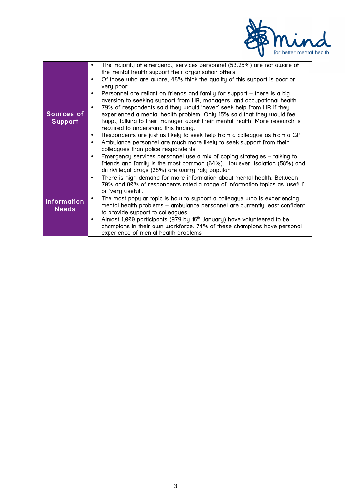

| Sources of<br><b>Support</b>       | The majority of emergency services personnel (53.25%) are not aware of<br>the mental health support their organisation offers<br>Of those who are aware, 48% think the quality of this support is poor or<br>$\bullet$<br>very poor<br>Personnel are reliant on friends and family for support – there is a big<br>٠<br>aversion to seeking support from HR, managers, and occupational health<br>79% of respondents said they would 'never' seek help from HR if they<br>$\bullet$<br>experienced a mental health problem. Only 15% said that they would feel<br>happy talking to their manager about their mental health. More research is<br>required to understand this finding.<br>Respondents are just as likely to seek help from a colleague as from a GP<br>٠<br>Ambulance personnel are much more likely to seek support from their<br>$\bullet$<br>colleagues than police respondents<br>Emergency services personnel use a mix of coping strategies – talking to<br>$\bullet$<br>friends and family is the most common (64%). However, isolation (58%) and<br>drink/illegal drugs (28%) are worryingly popular |
|------------------------------------|----------------------------------------------------------------------------------------------------------------------------------------------------------------------------------------------------------------------------------------------------------------------------------------------------------------------------------------------------------------------------------------------------------------------------------------------------------------------------------------------------------------------------------------------------------------------------------------------------------------------------------------------------------------------------------------------------------------------------------------------------------------------------------------------------------------------------------------------------------------------------------------------------------------------------------------------------------------------------------------------------------------------------------------------------------------------------------------------------------------------------|
| <b>Information</b><br><b>Needs</b> | There is high demand for more information about mental health. Between<br>٠<br>70% and 80% of respondents rated a range of information topics as 'useful'<br>or 'very useful'.<br>The most popular topic is how to support a colleague who is experiencing<br>mental health problems - ambulance personnel are currently least confident<br>to provide support to colleagues<br>Almost 1,000 participants (979 by 16 <sup>th</sup> January) have volunteered to be<br>champions in their own workforce. 74% of these champions have personal<br>experience of mental health problems                                                                                                                                                                                                                                                                                                                                                                                                                                                                                                                                       |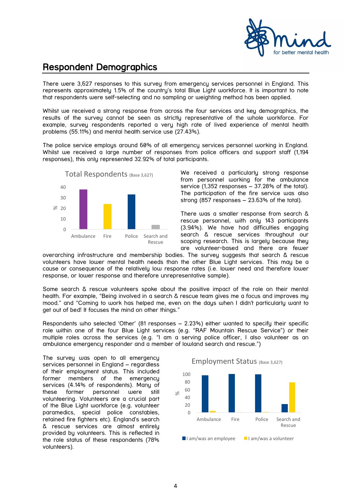

# Respondent Demographics

There were 3,627 responses to this survey from emergency services personnel in England. This represents approximately 1.5% of the country's total Blue Light workforce. It is important to note that respondents were self-selecting and no sampling or weighting method has been applied.

Whilst we received a strong response from across the four services and key demographics, the results of the survey cannot be seen as strictly representative of the whole workforce. For example, survey respondents reported a very high rate of lived experience of mental health problems (55.11%) and mental health service use (27.43%).

The police service employs around 60% of all emergency services personnel working in England. Whilst we received a large number of responses from police officers and support staff (1,194 responses), this only represented 32.92% of total participants.



We received a particularly strong response from personnel working for the ambulance service (1,352 responses – 37.28% of the total). The participation of the fire service was also strong (857 responses – 23.63% of the total).

There was a smaller response from search & rescue personnel, with only 143 participants (3.94%). We have had difficulties engaging search & rescue services throughout our scoping research. This is largely because they are volunteer-based and there are fewer

overarching infrastructure and membership bodies. The survey suggests that search & rescue volunteers have lower mental health needs than the other Blue Light services. This may be a cause or consequence of the relatively low response rates (i.e. lower need and therefore lower response, or lower response and therefore unrepresentative sample).

Some search & rescue volunteers spoke about the positive impact of the role on their mental health. For example, "Being involved in a search & rescue team gives me a focus and improves my mood." and "Coming to work has helped me, even on the days when I didn't particularly want to get out of bed! It focuses the mind on other things."

Respondents who selected 'Other' (81 responses – 2.23%) either wanted to specify their specific role within one of the four Blue Light services (e.g. "RAF Mountain Rescue Service") or their multiple roles across the services (e.g. "I am a serving police officer, I also volunteer as an ambulance emergency responder and a member of lowland search and rescue.")

The survey was open to all emergency services personnel in England – regardless of their employment status. This included former members of the emergency services (4.14% of respondents). Many of these former personnel were still volunteering. Volunteers are a crucial part of the Blue Light workforce (e.g. volunteer paramedics, special police constables, retained fire fighters etc). England's search & rescue services are almost entirely provided by volunteers. This is reflected in the role status of these respondents (78% volunteers).

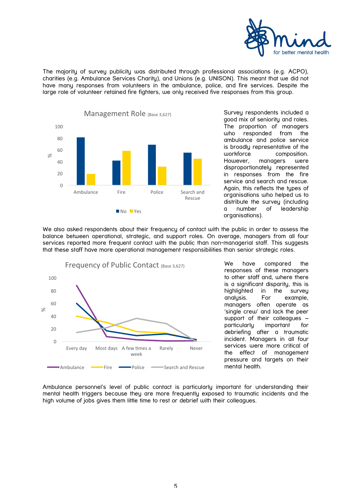

The majority of survey publicity was distributed through professional associations (e.g. ACPO), charities (e.g. Ambulance Services Charity), and Unions (e.g. UNISON). This meant that we did not have many responses from volunteers in the ambulance, police, and fire services. Despite the large role of volunteer retained fire fighters, we only received five responses from this group.



Survey respondents included a good mix of seniority and roles. The proportion of managers who responded from the ambulance and police service is broadly representative of the workforce composition. However, managers were disproportionately represented in responses from the fire service and search and rescue. Again, this reflects the types of organisations who helped us to distribute the survey (including a number of leadership organisations).

We also asked respondents about their frequency of contact with the public in order to assess the balance between operational, strategic, and support roles. On average, managers from all four services reported more frequent contact with the public than non-managerial staff. This suggests that these staff have more operational management responsibilities than senior strategic roles.



We have compared the responses of these managers to other staff and, where there is a significant disparity, this is highlighted in the survey analysis. For example, managers often operate as 'single crew' and lack the peer support of their colleagues – particularly important for debriefing after a traumatic incident. Managers in all four services were more critical of the effect of management pressure and targets on their mental health.

Ambulance personnel's level of public contact is particularly important for understanding their mental health triggers because they are more frequently exposed to traumatic incidents and the high volume of jobs gives them little time to rest or debrief with their colleagues.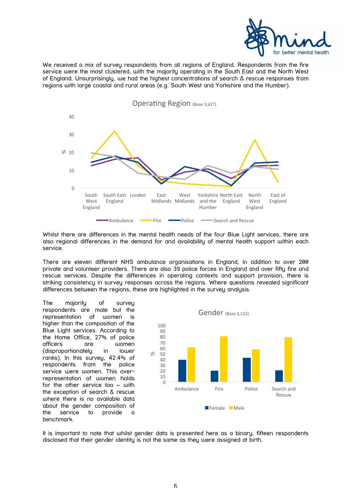![](_page_5_Picture_0.jpeg)

We received a mix of survey respondents from all regions of England. Respondents from the fire service were the most clustered, with the majority operating in the South East and the North West of England. Unsurprisingly, we had the highest concentrations of search & rescue responses from regions with large coastal and rural areas (e.g. South West and Yorkshire and the Humber).

![](_page_5_Figure_2.jpeg)

Whilst there are differences in the mental health needs of the four Blue Light services, there are also regional differences in the demand for and availability of mental health support within each service.

There are eleven different NHS ambulance organisations in England, in addition to over 200 private and volunteer providers. There are also 39 police forces in England and over fifty fire and rescue services. Despite the differences in operating contexts and support provision, there is striking consistency in survey responses across the regions. Where questions revealed significant differences between the regions, these are highlighted in the survey analysis.

The majority of survey respondents are male but the representation of women is higher than the composition of the Blue Light services. According to the Home Office, 27% of police officers are women (disproportionately in lower ranks). In this survey, 42.4% of respondents from the police service were women. This overrepresentation of women holds for the other service too – with the exception of search & rescue where there is no available data about the gender composition of the service to provide a benchmark.

![](_page_5_Figure_6.jpeg)

It is important to note that whilst gender data is presented here as a binary, fifteen respondents disclosed that their gender identity is not the same as they were assigned at birth.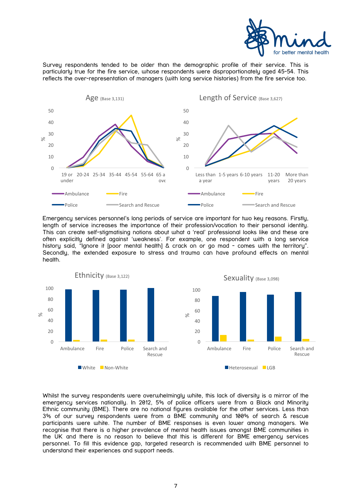![](_page_6_Picture_0.jpeg)

Survey respondents tended to be older than the demographic profile of their service. This is particularly true for the fire service, whose respondents were disproportionately aged 45-54. This reflects the over-representation of managers (with long service histories) from the fire service too.

![](_page_6_Figure_2.jpeg)

Emergency services personnel's long periods of service are important for two key reasons. Firstly, length of service increases the importance of their profession/vocation to their personal identity. This can create self-stigmatising notions about what a 'real' professional looks like and these are often explicitly defined against 'weakness'. For example, one respondent with a long service history said, "Ignore it [poor mental health] & crack on or go mad - comes with the territory". Secondly, the extended exposure to stress and trauma can have profound effects on mental health.

![](_page_6_Figure_4.jpeg)

Whilst the survey respondents were overwhelmingly white, this lack of diversity is a mirror of the emergency services nationally. In 2012, 5% of police officers were from a Black and Minority Ethnic community (BME). There are no national figures available for the other services. Less than 3% of our survey respondents were from a BME community and 100% of search & rescue participants were white. The number of BME responses is even lower among managers. We recognise that there is a higher prevalence of mental health issues amongst BME communities in the UK and there is no reason to believe that this is different for BME emergency services personnel. To fill this evidence gap, targeted research is recommended with BME personnel to understand their experiences and support needs.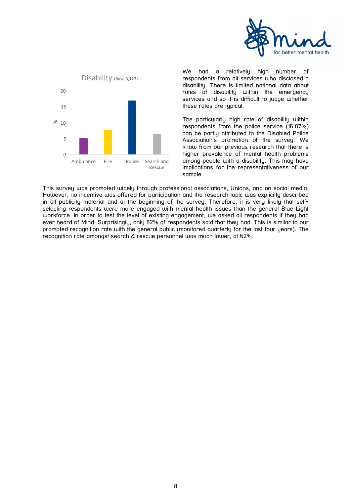![](_page_7_Picture_0.jpeg)

![](_page_7_Figure_1.jpeg)

We had a relatively high number of respondents from all services who disclosed a disability. There is limited national data about rates of disability within the emergency services and so it is difficult to judge whether these rates are typical.

The particularly high rate of disability within respondents from the police service (16.87%) can be partly attributed to the Disabled Police Association's promotion of the survey. We know from our previous research that there is higher prevalence of mental health problems among people with a disability. This may have implications for the representativeness of our sample.

This survey was promoted widely through professional associations, Unions, and on social media. However, no incentive was offered for participation and the research topic was explicitly described in all publicity material and at the beginning of the survey. Therefore, it is very likely that selfselecting respondents were more engaged with mental health issues than the general Blue Light workforce. In order to test the level of existing engagement, we asked all respondents if they had ever heard of Mind. Surprisingly, only 82% of respondents said that they had. This is similar to our prompted recognition rate with the general public (monitored quarterly for the last four years). The recognition rate amongst search & rescue personnel was much lower, at 62%.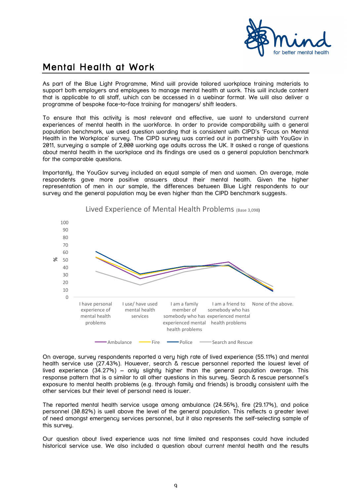![](_page_8_Picture_0.jpeg)

# Mental Health at Work

As part of the Blue Light Programme, Mind will provide tailored workplace training materials to support both employers and employees to manage mental health at work. This will include content that is applicable to all staff, which can be accessed in a webinar format. We will also deliver a programme of bespoke face-to-face training for managers/ shift leaders.

To ensure that this activity is most relevant and effective, we want to understand current experiences of mental health in the workforce. In order to provide comparability with a general population benchmark, we used question wording that is consistent with CIPD's 'Focus on Mental Health in the Workplace' survey. The CIPD survey was carried out in partnership with YouGov in 2011, surveying a sample of 2,000 working age adults across the UK. It asked a range of questions about mental health in the workplace and its findings are used as a general population benchmark for the comparable questions.

Importantly, the YouGov survey included an equal sample of men and women. On average, male respondents gave more positive answers about their mental health. Given the higher representation of men in our sample, the differences between Blue Light respondents to our survey and the general population may be even higher than the CIPD benchmark suggests.

![](_page_8_Figure_5.jpeg)

Lived Experience of Mental Health Problems (Base 3,098)

On average, survey respondents reported a very high rate of lived experience (55.11%) and mental health service use (27.43%). However, search & rescue personnel reported the lowest level of lived experience  $(34.27%)$  – only slightly higher than the general population average. This response pattern that is a similar to all other questions in this survey. Search & rescue personnel's exposure to mental health problems (e.g. through family and friends) is broadly consistent with the other services but their level of personal need is lower.

The reported mental health service usage among ambulance (24.56%), fire (29.17%), and police personnel (30.82%) is well above the level of the general population. This reflects a greater level of need amongst emergency services personnel, but it also represents the self-selecting sample of this survey.

Our question about lived experience was not time limited and responses could have included historical service use. We also included a question about current mental health and the results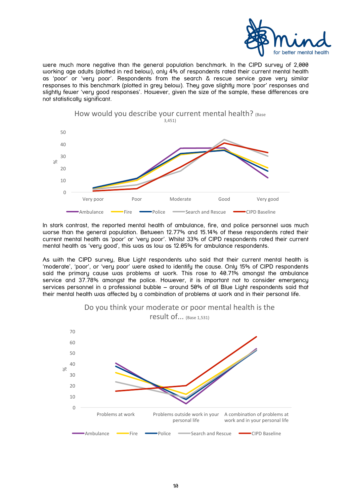![](_page_9_Picture_0.jpeg)

were much more negative than the general population benchmark. In the CIPD survey of 2,000 working age adults (plotted in red below), only 4% of respondents rated their current mental health as 'poor' or 'very poor'. Respondents from the search & rescue service gave very similar responses to this benchmark (plotted in grey below). They gave slightly more 'poor' responses and slightly fewer 'very good responses'. However, given the size of the sample, these differences are not statistically significant.

![](_page_9_Figure_2.jpeg)

In stark contrast, the reported mental health of ambulance, fire, and police personnel was much worse than the general population. Between 12.77% and 15.14% of these respondents rated their current mental health as 'poor' or 'very poor'. Whilst 33% of CIPD respondents rated their current mental health as 'very good', this was as low as 12.05% for ambulance respondents.

As with the CIPD survey, Blue Light respondents who said that their current mental health is 'moderate', 'poor', or 'very poor' were asked to identify the cause. Only 15% of CIPD respondents said the primary cause was problems at work. This rose to 40.71% amongst the ambulance service and 37.78% amongst the police. However, it is important not to consider emergency services personnel in a professional bubble – around 50% of all Blue Light respondents said that their mental health was affected by a combination of problems at work and in their personal life.

![](_page_9_Figure_5.jpeg)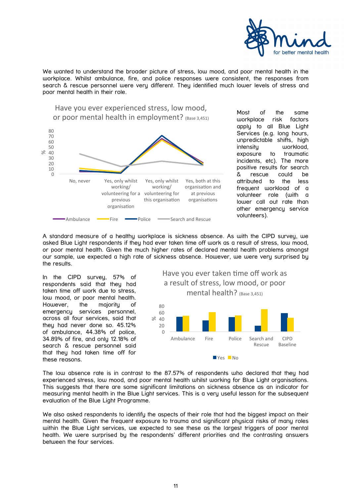![](_page_10_Picture_0.jpeg)

We wanted to understand the broader picture of stress, low mood, and poor mental health in the workplace. Whilst ambulance, fire, and police responses were consistent, the responses from search & rescue personnel were very different. They identified much lower levels of stress and poor mental health in their role.

![](_page_10_Figure_2.jpeg)

Most of the same workplace risk factors apply to all Blue Light Services (e.g. long hours, unpredictable shifts, high intensity workload, exposure to traumatic incidents, etc). The more positive results for search & rescue could be attributed to the less frequent workload of a volunteer role (with a lower call out rate than other emergency service volunteers).

A standard measure of a healthy workplace is sickness absence. As with the CIPD survey, we asked Blue Light respondents if they had ever taken time off work as a result of stress, low mood, or poor mental health. Given the much higher rates of declared mental health problems amongst our sample, we expected a high rate of sickness absence. However, we were very surprised by the results.

In the CIPD survey, 57% of respondents said that they had taken time off work due to stress, low mood, or poor mental health. However, the majority of emergency services personnel, across all four services, said that they had never done so. 45.12% of ambulance, 44.38% of police, 34.89% of fire, and only 12.18% of search & rescue personnel said that they had taken time off for these reasons.

![](_page_10_Figure_6.jpeg)

The low absence rate is in contrast to the 87.57% of respondents who declared that they had experienced stress, low mood, and poor mental health whilst working for Blue Light organisations. This suggests that there are some significant limitations on sickness absence as an indicator for measuring mental health in the Blue Light services. This is a very useful lesson for the subsequent evaluation of the Blue Light Programme.

We also asked respondents to identify the aspects of their role that had the biggest impact on their mental health. Given the frequent exposure to trauma and significant physical risks of many roles within the Blue Light services, we expected to see these as the largest triggers of poor mental health. We were surprised by the respondents' different priorities and the contrasting answers between the four services.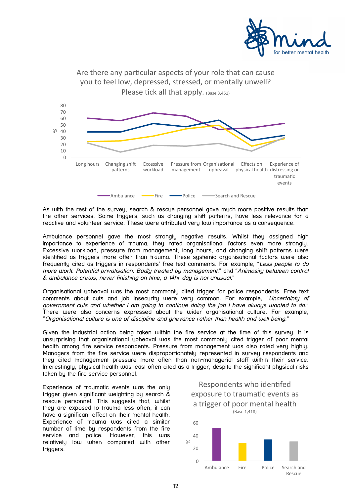![](_page_11_Picture_0.jpeg)

![](_page_11_Figure_1.jpeg)

As with the rest of the survey, search & rescue personnel gave much more positive results than the other services. Some triggers, such as changing shift patterns, have less relevance for a reactive and volunteer service. These were attributed very low importance as a consequence.

Ambulance personnel gave the most strongly negative results. Whilst they assigned high importance to experience of trauma, they rated organisational factors even more strongly. Excessive workload, pressure from management, long hours, and changing shift patterns were identified as triggers more often than trauma. These systemic organisational factors were also frequently cited as triggers in respondents' free text comments. For example, "Less people to do more work. Potential privatisation. Badly treated by management." and "Animosity between control & ambulance crews, never finishing on time, a 14hr day is not unusual."

Organisational upheaval was the most commonly cited trigger for police respondents. Free text comments about cuts and job insecurity were very common. For example, "Uncertainty of government cuts and whether I am going to continue doing the job I have always wanted to do." There were also concerns expressed about the wider organisational culture. For example, "Organisational culture is one of discipline and grievance rather than health and well being."

Given the industrial action being taken within the fire service at the time of this survey, it is unsurprising that organisational upheaval was the most commonly cited trigger of poor mental health among fire service respondents. Pressure from management was also rated very highly. Managers from the fire service were disproportionately represented in survey respondents and they cited management pressure more often than non-managerial staff within their service. Interestingly, physical health was least often cited as a trigger, despite the significant physical risks taken by the fire service personnel.

Experience of traumatic events was the only trigger given significant weighting by search & rescue personnel. This suggests that, whilst they are exposed to trauma less often, it can have a significant effect on their mental health. Experience of trauma was cited a similar number of time by respondents from the fire service and police. However, this was relatively low when compared with other triggers.

![](_page_11_Figure_7.jpeg)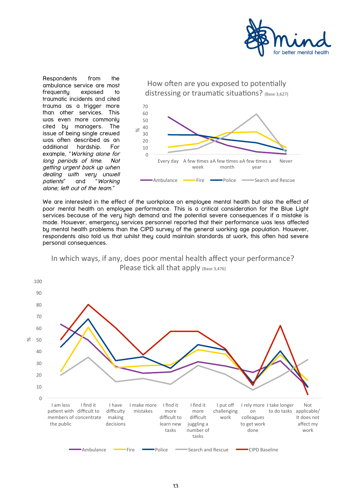![](_page_12_Picture_0.jpeg)

Respondents from the ambulance service are most frequently exposed to traumatic incidents and cited trauma as a trigger more than other services. This was even more commonly cited by managers. The issue of being single crewed was often described as an additional hardship. For example, "Working alone for long periods of time. Not getting urgent back up when dealing with very unwell<br>patients" and "Working and "Working alone; left out of the team."

![](_page_12_Figure_2.jpeg)

We are interested in the effect of the workplace on employee mental health but also the effect of poor mental health on employee performance. This is a critical consideration for the Blue Light services because of the very high demand and the potential severe consequences if a mistake is made. However, emergency services personnel reported that their performance was less affected by mental health problems than the CIPD survey of the general working age population. However, respondents also told us that whilst they could maintain standards at work, this often had severe personal consequences.

![](_page_12_Figure_4.jpeg)

![](_page_12_Figure_5.jpeg)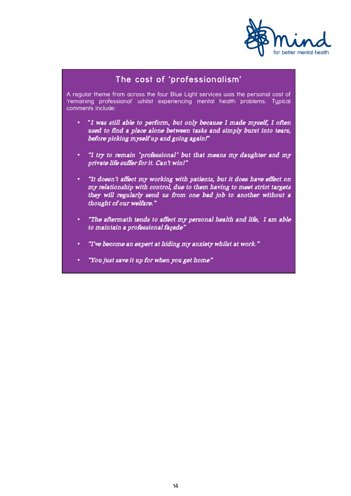![](_page_13_Picture_0.jpeg)

## The cost of 'professionalism'

A regular theme from across the four Blue Light services was the personal cost of 'remaining professional' whilst experiencing mental health problems. Typical comments include:

- "I was still able to perform, but only because I made myself, I often used to find a place alone between tasks and simply burst into tears, before picking myself up and going again!"
- "I try to remain "professional" but that means my daughter and my private life suffer for it. Can't win!"
- "It doesn't affect my working with patients, but it does have effect on my relationship with control, due to them having to meet strict targets they will regularly send us from one bad job to another without a thought of our welfare."
- "The aftermath tends to affect my personal health and life, I am able to maintain a professional façade"
- "I've become an expert at hiding my anxiety whilst at work."
- "You just save it up for when you get home"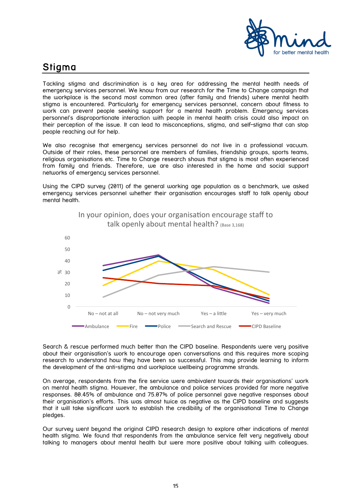![](_page_14_Picture_0.jpeg)

# Stigma

Tackling stigma and discrimination is a key area for addressing the mental health needs of emergency services personnel. We know from our research for the Time to Change campaign that the workplace is the second most common area (after family and friends) where mental health stigma is encountered. Particularly for emergency services personnel, concern about fitness to work can prevent people seeking support for a mental health problem. Emergency services personnel's disproportionate interaction with people in mental health crisis could also impact on their perception of the issue. It can lead to misconceptions, stigma, and self-stigma that can stop people reaching out for help.

We also recognise that emergency services personnel do not live in a professional vacuum. Outside of their roles, these personnel are members of families, friendship groups, sports teams, religious organisations etc. Time to Change research shows that stigma is most often experienced from family and friends. Therefore, we are also interested in the home and social support networks of emergency services personnel.

Using the CIPD survey (2011) of the general working age population as a benchmark, we asked emergency services personnel whether their organisation encourages staff to talk openly about mental health.

![](_page_14_Figure_5.jpeg)

In your opinion, does your organisation encourage staff to talk openly about mental health? (Base 3.168)

Search & rescue performed much better than the CIPD baseline. Respondents were very positive about their organisation's work to encourage open conversations and this requires more scoping research to understand how they have been so successful. This may provide learning to inform the development of the anti-stigma and workplace wellbeing programme strands.

On average, respondents from the fire service were ambivalent towards their organisations' work on mental health stigma. However, the ambulance and police services provided far more negative responses. 80.45% of ambulance and 75.07% of police personnel gave negative responses about their organisation's efforts. This was almost twice as negative as the CIPD baseline and suggests that it will take significant work to establish the credibility of the organisational Time to Change pledges.

Our survey went beyond the original CIPD research design to explore other indications of mental health stigma. We found that respondents from the ambulance service felt very negatively about talking to managers about mental health but were more positive about talking with colleagues.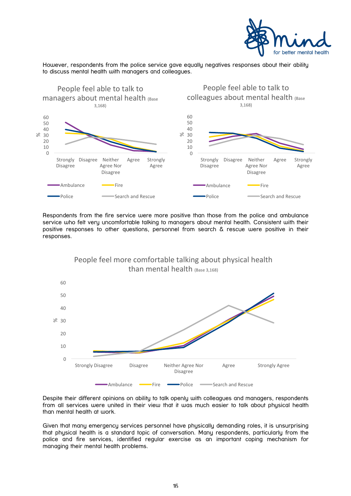![](_page_15_Picture_0.jpeg)

However, respondents from the police service gave equally negatives responses about their ability to discuss mental health with managers and colleagues.

![](_page_15_Figure_2.jpeg)

Respondents from the fire service were more positive than those from the police and ambulance service who felt very uncomfortable talking to managers about mental health. Consistent with their positive responses to other questions, personnel from search & rescue were positive in their responses.

![](_page_15_Figure_4.jpeg)

Despite their different opinions on ability to talk openly with colleagues and managers, respondents from all services were united in their view that it was much easier to talk about physical health than mental health at work.

Given that many emergency services personnel have physically demanding roles, it is unsurprising that physical health is a standard topic of conversation. Many respondents, particularly from the police and fire services, identified regular exercise as an important coping mechanism for managing their mental health problems.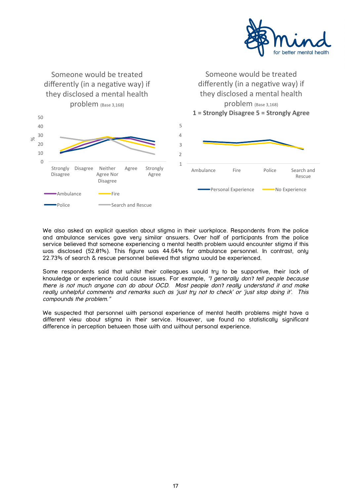![](_page_16_Picture_0.jpeg)

![](_page_16_Figure_1.jpeg)

We also asked an explicit question about stigma in their workplace. Respondents from the police and ambulance services gave very similar answers. Over half of participants from the police service believed that someone experiencing a mental health problem would encounter stigma if this was disclosed (52.01%). This figure was 44.64% for ambulance personnel. In contrast, only 22.73% of search & rescue personnel believed that stigma would be experienced.

Some respondents said that whilst their colleagues would try to be supportive, their lack of knowledge or experience could cause issues. For example, "I generally don't tell people because there is not much anyone can do about OCD. Most people don't really understand it and make really unhelpful comments and remarks such as 'just try not to check' or 'just stop doing it'. This compounds the problem."

We suspected that personnel with personal experience of mental health problems might have a different view about stigma in their service. However, we found no statistically significant difference in perception between those with and without personal experience.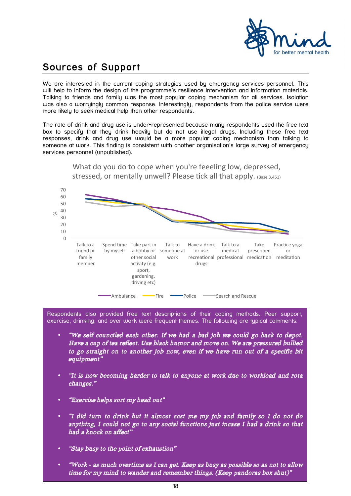![](_page_17_Picture_0.jpeg)

# Sources of Support

We are interested in the current coping strategies used by emergency services personnel. This will help to inform the design of the programme's resilience intervention and information materials. Talking to friends and family was the most popular coping mechanism for all services. Isolation was also a worryingly common response. Interestingly, respondents from the police service were more likely to seek medical help than other respondents.

The rate of drink and drug use is under-represented because many respondents used the free text box to specify that they drink heavily but do not use illegal drugs. Including these free text responses, drink and drug use would be a more popular coping mechanism than talking to someone at work. This finding is consistent with another organisation's large survey of emergency services personnel (unpublished).

![](_page_17_Figure_4.jpeg)

stressed, or mentally unwell? Please tick all that apply. (Base 3,451)

What do you do to cope when you're feeeling low, depressed.

Respondents also provided free text descriptions of their coping methods. Peer support, exercise, drinking, and over work were frequent themes. The following are typical comments:

- "We self counciled each other. If we had a bad job we could go back to depot. Have a cup of tea reflect. Use black humor and move on. We are pressured bullied to go straight on to another job now, even if we have run out of a specific bit equipment"
- "It is now becoming harder to talk to anyone at work due to workload and rota changes."
- "Exercise helps sort my head out"
- "I did turn to drink but it almost cost me my job and family so I do not do anything, I could not go to any social functions just incase I had a drink so that had a knock on affect"
- "Stay busy to the point of exhaustion"
- "Work as much overtime as I can get. Keep as busy as possible so as not to allow time for my mind to wander and remember things. (Keep pandoras box shut)"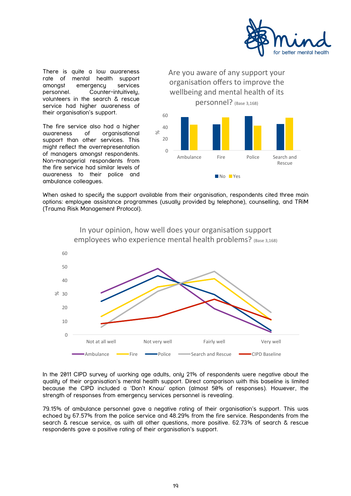![](_page_18_Picture_0.jpeg)

There is quite a low awareness rate of mental health support amongst emergency services personnel. Counter-intuitively, volunteers in the search & rescue service had higher awareness of their organisation's support.

The fire service also had a higher awareness of organisational support than other services. This might reflect the overrepresentation of managers amongst respondents. Non-managerial respondents from the fire service had similar levels of awareness to their police and ambulance colleagues.

![](_page_18_Figure_3.jpeg)

When asked to specify the support available from their organisation, respondents cited three main options: employee assistance programmes (usually provided by telephone), counselling, and TRiM (Trauma Risk Management Protocol).

![](_page_18_Figure_5.jpeg)

### In your opinion, how well does your organisation support employees who experience mental health problems? (Base 3,168)

In the 2011 CIPD survey of working age adults, only 21% of respondents were negative about the quality of their organisation's mental health support. Direct comparison with this baseline is limited because the CIPD included a 'Don't Know' option (almost 50% of responses). However, the strength of responses from emergency services personnel is revealing.

79.15% of ambulance personnel gave a negative rating of their organisation's support. This was echoed by 67.57% from the police service and 48.29% from the fire service. Respondents from the search & rescue service, as with all other questions, more positive. 62.73% of search & rescue respondents gave a positive rating of their organisation's support.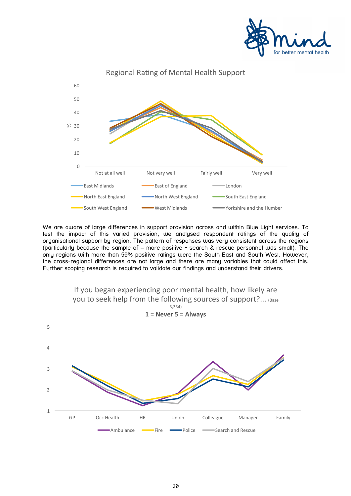![](_page_19_Picture_0.jpeg)

![](_page_19_Figure_1.jpeg)

We are aware of large differences in support provision across and within Blue Light services. To test the impact of this varied provision, we analysed respondent ratings of the quality of organisational support by region. The pattern of responses was very consistent across the regions (particularly because the sample of – more positive - search & rescue personnel was small). The only regions with more than 50% positive ratings were the South East and South West. However, the cross-regional differences are not large and there are many variables that could affect this. Further scoping research is required to validate our findings and understand their drivers.

![](_page_19_Figure_3.jpeg)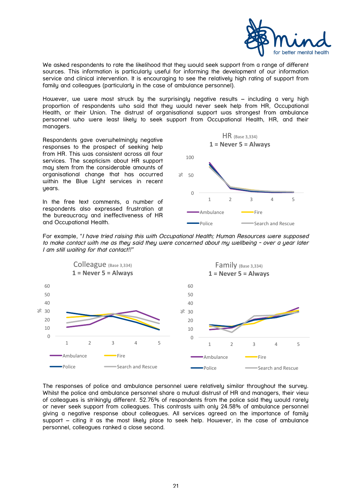![](_page_20_Picture_0.jpeg)

We asked respondents to rate the likelihood that they would seek support from a range of different sources. This information is particularly useful for informing the development of our information service and clinical intervention. It is encouraging to see the relatively high rating of support from family and colleagues (particularly in the case of ambulance personnel).

However, we were most struck by the surprisingly negative results – including a very high proportion of respondents who said that they would never seek help from HR, Occupational Health, or their Union. The distrust of organisational support was strongest from ambulance personnel who were least likely to seek support from Occupational Health, HR, and their managers.

Respondents gave overwhelmingly negative responses to the prospect of seeking help from HR. This was consistent across all four services. The scepticism about HR support may stem from the considerable amounts of organisational change that has occurred within the Blue Light services in recent years.

In the free text comments, a number of respondents also expressed frustration at the bureaucracy and ineffectiveness of HR and Occupational Health.

![](_page_20_Figure_5.jpeg)

For example, "I have tried raising this with Occupational Health; Human Resources were supposed to make contact with me as they said they were concerned about my wellbeing - over a year later I am still waiting for that contact!!"

![](_page_20_Figure_7.jpeg)

The responses of police and ambulance personnel were relatively similar throughout the survey. Whilst the police and ambulance personnel share a mutual distrust of HR and managers, their view of colleagues is strikingly different. 52.76% of respondents from the police said they would rarely or never seek support from colleagues. This contrasts with only 24.58% of ambulance personnel giving a negative response about colleagues. All services agreed on the importance of family support – citing it as the most likely place to seek help. However, in the case of ambulance personnel, colleagues ranked a close second.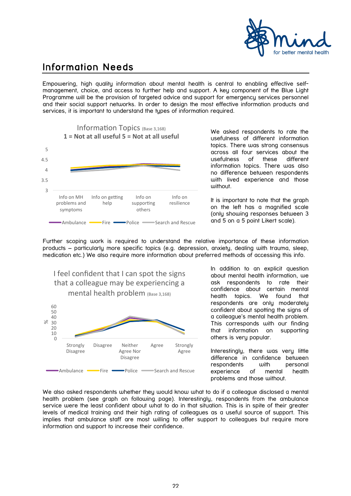![](_page_21_Picture_0.jpeg)

# Information Needs

Empowering, high quality information about mental health is central to enabling effective selfmanagement, choice, and access to further help and support. A key component of the Blue Light Programme will be the provision of targeted advice and support for emergency services personnel and their social support networks. In order to design the most effective information products and services, it is important to understand the types of information required.

![](_page_21_Figure_3.jpeg)

We asked respondents to rate the usefulness of different information topics. There was strong consensus across all four services about the usefulness of these different information topics. There was also no difference between respondents with lived experience and those without.

It is important to note that the graph on the left has a magnified scale (only showing responses between 3 and 5 on a 5 point Likert scale).

Further scoping work is required to understand the relative importance of these information products – particularly more specific topics (e.g. depression, anxiety, dealing with trauma, sleep, medication etc.) We also require more information about preferred methods of accessing this info.

![](_page_21_Figure_7.jpeg)

In addition to an explicit question about mental health information, we ask respondents to rate their confidence about certain mental health topics. We found that respondents are only moderately confident about spotting the signs of a colleague's mental health problem. This corresponds with our finding that information on supporting others is very popular.

Interestingly, there was very little difference in confidence between respondents with personal experience of mental health problems and those without.

We also asked respondents whether they would know what to do if a colleague disclosed a mental health problem (see graph on following page). Interestingly, respondents from the ambulance service were the least confident about what to do in that situation. This is in spite of their greater levels of medical training and their high rating of colleagues as a useful source of support. This implies that ambulance staff are most willing to offer support to colleagues but require more information and support to increase their confidence.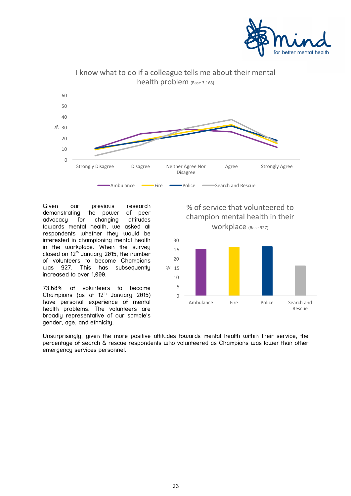![](_page_22_Picture_0.jpeg)

![](_page_22_Figure_1.jpeg)

Given our previous research demonstrating the power of peer advocacy for changing attitudes towards mental health, we asked all respondents whether they would be interested in championing mental health in the workplace. When the survey closed on  $12<sup>th</sup>$  January 2015, the number of volunteers to become Champions was 927. This has subsequently increased to over 1,000.

73.68% of volunteers to become Champions (as at  $12<sup>th</sup>$  January 2015) have personal experience of mental health problems. The volunteers are broadly representative of our sample's gender, age, and ethnicity.

% of service that volunteered to champion mental health in their WOrkplace (Base 927)

![](_page_22_Figure_5.jpeg)

Unsurprisingly, given the more positive attitudes towards mental health within their service, the percentage of search & rescue respondents who volunteered as Champions was lower than other emergency services personnel.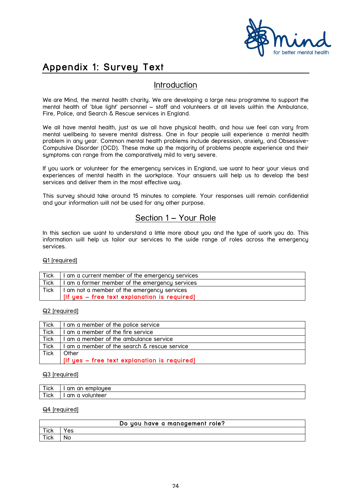![](_page_23_Picture_0.jpeg)

# Appendix 1: Survey Text

## Introduction

We are Mind, the mental health charity. We are developing a large new programme to support the mental health of 'blue light' personnel – staff and volunteers at all levels within the Ambulance, Fire, Police, and Search & Rescue services in England.

We all have mental health, just as we all have physical health, and how we feel can vary from mental wellbeing to severe mental distress. One in four people will experience a mental health problem in any year. Common mental health problems include depression, anxiety, and Obsessive-Compulsive Disorder (OCD). These make up the majority of problems people experience and their symptoms can range from the comparatively mild to very severe.

If you work or volunteer for the emergency services in England, we want to hear your views and experiences of mental health in the workplace. Your answers will help us to develop the best services and deliver them in the most effective way.

This survey should take around 15 minutes to complete. Your responses will remain confidential and your information will not be used for any other purpose.

## Section 1 – Your Role

In this section we want to understand a little more about you and the type of work you do. This information will help us tailor our services to the wide range of roles across the emergency services.

Q1 [required]

| Tick        | am a current member of the emergency services |
|-------------|-----------------------------------------------|
| <b>Tick</b> | am a former member of the emergency services  |
| Tick        | I am not a member of the emergency services   |
|             | [If yes - free text explanation is required]  |

#### Q2 [required]

| Tick        | am a member of the police service            |
|-------------|----------------------------------------------|
| Tick        | am a member of the fire service              |
| <b>Tick</b> | am a member of the ambulance service         |
| <b>Tick</b> | am a member of the search & rescue service   |
| <b>Tick</b> | Other                                        |
|             | [If yes – free text explanation is required] |

#### Q3 [required]

| ---<br><b>ICK</b> | an<br>emplouee<br>am                |
|-------------------|-------------------------------------|
| $-$<br>псk        | olunteer<br>am<br>a<br>$\mathsf{u}$ |

#### Q4 [required]

| Do you have a management role? |     |
|--------------------------------|-----|
| Tick                           | Yes |
| Tick                           | No  |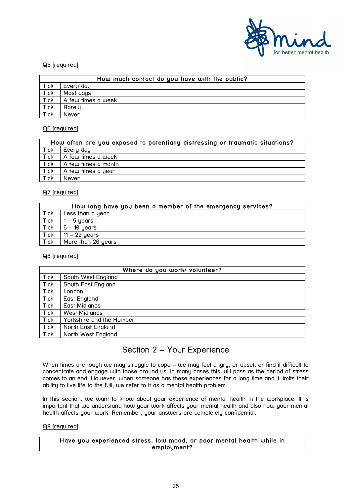![](_page_24_Picture_0.jpeg)

#### Q5 [required]

|             | How much contact do you have with the public? |
|-------------|-----------------------------------------------|
| <b>Tick</b> | Every day                                     |
| <b>Tick</b> | Most days                                     |
| <b>Tick</b> | A few times a week                            |
| <b>Tick</b> | Rarely                                        |
| <b>Tick</b> | Never                                         |

#### Q6 [required]

|             | How often are you exposed to potentially distressing or traumatic situations? |  |
|-------------|-------------------------------------------------------------------------------|--|
| Tick        | Every day                                                                     |  |
| Tick        | A few times a week                                                            |  |
| Tick        | A few times a month                                                           |  |
| <b>Tick</b> | A few times a year                                                            |  |
| Tick        | Never                                                                         |  |

#### Q7 [required]

|             | How long have you been a member of the emergency services? |
|-------------|------------------------------------------------------------|
| <b>Tick</b> | Less than a year                                           |
| <b>Tick</b> | $1 - 5$ years                                              |
| <b>Tick</b> | $6 - 10$ years                                             |
| <b>Tick</b> | $11 - 20$ years                                            |
| <b>Tick</b> | More than 20 years                                         |

#### Q8 [required]

| Where do you work/ volunteer? |                          |
|-------------------------------|--------------------------|
| <b>Tick</b>                   | South West England       |
| <b>Tick</b>                   | South East England       |
| <b>Tick</b>                   | London                   |
| Tick                          | East England             |
| Tick                          | East Midlands            |
| Tick                          | West Midlands            |
| Tick                          | Yorkshire and the Humber |
| <b>Tick</b>                   | North East England       |
| Tick                          | North West England       |

## Section 2 – Your Experience

When times are tough we may struggle to cope – we may feel angry, or upset, or find it difficult to concentrate and engage with those around us. In many cases this will pass as the period of stress comes to an end. However, when someone has these experiences for a long time and it limits their ability to live life to the full, we refer to it as a mental health problem.

In this section, we want to know about your experience of mental health in the workplace. It is important that we understand how your work affects your mental health and also how your mental health affects your work. Remember, your answers are completely confidential.

#### Q9 [required]

Have you experienced stress, low mood, or poor mental health while in employment?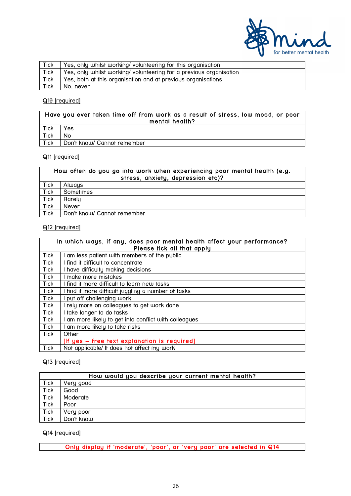![](_page_25_Picture_0.jpeg)

| Tick        | Yes, only whilst working/volunteering for this organisation       |
|-------------|-------------------------------------------------------------------|
| <b>Tick</b> | Yes, only whilst working/volunteering for a previous organisation |
| Tick        | Yes, both at this organisation and at previous organisations      |
| Tick        | No. never                                                         |

#### Q10 [required]

| Have you ever taken time off from work as a result of stress, low mood, or poor<br>mental health? |                             |
|---------------------------------------------------------------------------------------------------|-----------------------------|
| Tick                                                                                              | Yes                         |
| Tick                                                                                              | No.                         |
| <b>Tick</b>                                                                                       | Don't know/ Cannot remember |

#### Q11 [required]

| How often do you go into work when experiencing poor mental health (e.g.<br>stress, anxiety, depression etc)? |                             |  |  |  |
|---------------------------------------------------------------------------------------------------------------|-----------------------------|--|--|--|
| <b>Tick</b>                                                                                                   | Always                      |  |  |  |
| <b>Tick</b>                                                                                                   | Sometimes                   |  |  |  |
| Tick                                                                                                          | Rarely                      |  |  |  |
| Tick                                                                                                          | <b>Never</b>                |  |  |  |
| Tick                                                                                                          | Don't know/ Cannot remember |  |  |  |

#### Q12 [required]

| In which ways, if any, does poor mental health affect your performance?<br>Please tick all that apply |                                                     |  |  |  |
|-------------------------------------------------------------------------------------------------------|-----------------------------------------------------|--|--|--|
| Tick                                                                                                  | am less patient with members of the public          |  |  |  |
| Tick                                                                                                  | I find it difficult to concentrate                  |  |  |  |
| Tick                                                                                                  | I have difficulty making decisions                  |  |  |  |
| <b>Tick</b>                                                                                           | make more mistakes                                  |  |  |  |
| Tick                                                                                                  | I find it more difficult to learn new tasks         |  |  |  |
| Tick                                                                                                  | I find it more difficult juggling a number of tasks |  |  |  |
| Tick                                                                                                  | put off challenging work                            |  |  |  |
| Tick                                                                                                  | I rely more on colleagues to get work done          |  |  |  |
| Tick                                                                                                  | take longer to do tasks                             |  |  |  |
| Tick                                                                                                  | am more likely to get into conflict with colleagues |  |  |  |
| Tick                                                                                                  | am more likely to take risks                        |  |  |  |
| Tick                                                                                                  | Other                                               |  |  |  |
|                                                                                                       | [If yes - free text explanation is required]        |  |  |  |
| Tick                                                                                                  | Not applicable/ It does not affect my work          |  |  |  |

#### Q13 [required]

| How would you describe your current mental health? |            |  |  |  |
|----------------------------------------------------|------------|--|--|--|
| Tick                                               | Very good  |  |  |  |
| <b>Tick</b>                                        | Good       |  |  |  |
| <b>Tick</b>                                        | Moderate   |  |  |  |
| <b>Tick</b>                                        | Poor       |  |  |  |
| <b>Tick</b>                                        | Very poor  |  |  |  |
| <b>Tick</b>                                        | Don't know |  |  |  |

#### Q14 [required]

Only display if 'moderate', 'poor', or 'very poor' are selected in Q14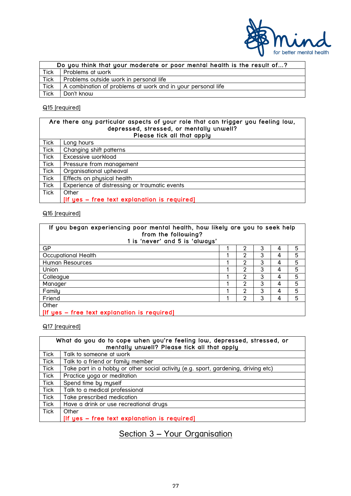![](_page_26_Picture_0.jpeg)

| Do you think that your moderate or poor mental health is the result of? |                                                             |  |  |  |
|-------------------------------------------------------------------------|-------------------------------------------------------------|--|--|--|
| <b>Tick</b>                                                             | Problems at work                                            |  |  |  |
| <b>Tick</b>                                                             | Problems outside work in personal life                      |  |  |  |
| <b>Tick</b>                                                             | A combination of problems at work and in your personal life |  |  |  |
| <b>Tick</b>                                                             | Don't know                                                  |  |  |  |

## Q15 [required]

| Are there any particular aspects of your role that can trigger you feeling low,<br>depressed, stressed, or mentally unwell?<br>Please tick all that apply |                                               |  |  |
|-----------------------------------------------------------------------------------------------------------------------------------------------------------|-----------------------------------------------|--|--|
| <b>Tick</b>                                                                                                                                               | Long hours                                    |  |  |
| <b>Tick</b>                                                                                                                                               | Changing shift patterns                       |  |  |
| <b>Tick</b>                                                                                                                                               | Excessive workload                            |  |  |
| <b>Tick</b>                                                                                                                                               | Pressure from management                      |  |  |
| <b>Tick</b>                                                                                                                                               | Organisational upheaval                       |  |  |
| <b>Tick</b>                                                                                                                                               | Effects on physical health                    |  |  |
| <b>Tick</b>                                                                                                                                               | Experience of distressing or traumatic events |  |  |
| Tick                                                                                                                                                      | Other                                         |  |  |
|                                                                                                                                                           | [If yes - free text explanation is required]  |  |  |

#### Q16 [required]

| If you began experiencing poor mental health, how likely are you to seek help<br>from the following?<br>1 is 'never' and 5 is 'always' |  |                |   |   |   |
|----------------------------------------------------------------------------------------------------------------------------------------|--|----------------|---|---|---|
| GP                                                                                                                                     |  | 2              | 3 | 4 | 5 |
| Occupational Health                                                                                                                    |  | 2              | 3 | 4 | 5 |
| Human Resources                                                                                                                        |  | $\overline{2}$ | 3 | 4 | 5 |
| Union                                                                                                                                  |  | $\mathcal{P}$  | 3 | 4 | 5 |
| Colleague                                                                                                                              |  | 2              | 3 | 4 | 5 |
| Manager                                                                                                                                |  | 2              | 3 | 4 | 5 |
| Family                                                                                                                                 |  | $\mathcal{P}$  | 3 | 4 | 5 |
| Friend                                                                                                                                 |  | 2              | 3 | 4 | 5 |
| Other                                                                                                                                  |  |                |   |   |   |
| [If yes – free text explanation is required]                                                                                           |  |                |   |   |   |

[If yes – free text explanation is required]

Q17 [required]

| What do you do to cope when you're feeling low, depressed, stressed, or<br>mentally unwell? Please tick all that apply |                                                                                    |  |  |  |
|------------------------------------------------------------------------------------------------------------------------|------------------------------------------------------------------------------------|--|--|--|
| <b>Tick</b>                                                                                                            | Talk to someone at work                                                            |  |  |  |
| Tick                                                                                                                   | Talk to a friend or family member                                                  |  |  |  |
| <b>Tick</b>                                                                                                            | Take part in a hobby or other social activity (e.g. sport, gardening, driving etc) |  |  |  |
| <b>Tick</b>                                                                                                            | Practice yoga or meditation                                                        |  |  |  |
| Tick                                                                                                                   | Spend time by myself                                                               |  |  |  |
| Tick                                                                                                                   | Talk to a medical professional                                                     |  |  |  |
| Tick                                                                                                                   | Take prescribed medication                                                         |  |  |  |
| <b>Tick</b>                                                                                                            | Have a drink or use recreational drugs                                             |  |  |  |
| <b>Tick</b>                                                                                                            | Other                                                                              |  |  |  |
|                                                                                                                        | [If yes – free text explanation is required]                                       |  |  |  |

# Section 3 – Your Organisation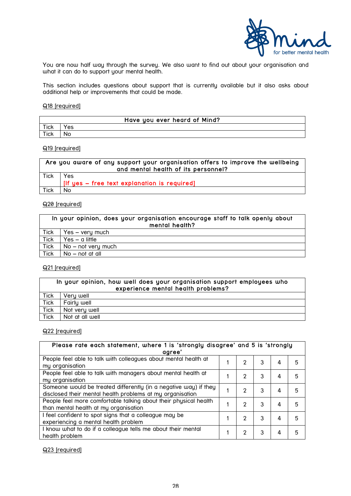![](_page_27_Picture_0.jpeg)

You are now half way through the survey. We also want to find out about your organisation and what it can do to support your mental health.

This section includes questions about support that is currently available but it also asks about additional help or improvements that could be made.

#### Q18 [required]

|      | Have you ever heard of Mind? |
|------|------------------------------|
| Tick | es                           |
| Tick | Nο                           |

#### Q19 [required]

|             | Are you aware of any support your organisation offers to improve the wellbeing<br>and mental health of its personnel? |
|-------------|-----------------------------------------------------------------------------------------------------------------------|
|             | Yes                                                                                                                   |
| <b>Tick</b> |                                                                                                                       |
|             | [If yes – free text explanation is required]                                                                          |
| Tick        | No                                                                                                                    |

#### Q20 [required]

| In your opinion, does your organisation encourage staff to talk openly about<br>mental health? |                      |  |  |  |
|------------------------------------------------------------------------------------------------|----------------------|--|--|--|
| Tick                                                                                           | Yes – very much      |  |  |  |
| <b>Tick</b>                                                                                    | $Yes - a little$     |  |  |  |
| Tick                                                                                           | $No - not very much$ |  |  |  |
| Tick                                                                                           | $No - not$ at all    |  |  |  |

#### Q21 [required]

| In your opinion, how well does your organisation support employees who<br>experience mental health problems? |                 |  |  |  |
|--------------------------------------------------------------------------------------------------------------|-----------------|--|--|--|
| Tick                                                                                                         | Very well       |  |  |  |
| Tick                                                                                                         | Fairly well     |  |  |  |
| Tick                                                                                                         | Not very well   |  |  |  |
| <b>Tick</b>                                                                                                  | Not at all well |  |  |  |

#### Q22 [required]

| Please rate each statement, where 1 is 'strongly disagree' and 5 is 'strongly |  |               |   |   |   |
|-------------------------------------------------------------------------------|--|---------------|---|---|---|
| aaree'                                                                        |  |               |   |   |   |
| People feel able to talk with colleagues about mental health at               |  | $\mathcal{P}$ | 3 | 4 | 5 |
| my organisation                                                               |  |               |   |   |   |
| People feel able to talk with managers about mental health at                 |  | 2             | 3 | 4 | 5 |
| my organisation                                                               |  |               |   |   |   |
| Someone would be treated differently (in a negative way) if they              |  | 2             | 3 | 4 |   |
| disclosed their mental health problems at my organisation                     |  |               |   |   |   |
| People feel more comfortable talking about their physical health              |  | $\mathcal{P}$ | 3 | 4 | 5 |
| than mental health at my organisation                                         |  |               |   |   |   |
| I feel confident to spot signs that a colleague may be                        |  | 2             | 3 | 4 |   |
| experiencing a mental health problem                                          |  |               |   |   |   |
| I know what to do if a colleague tells me about their mental                  |  | 2             | 3 | 4 |   |
| health problem                                                                |  |               |   |   |   |

#### Q23 [required]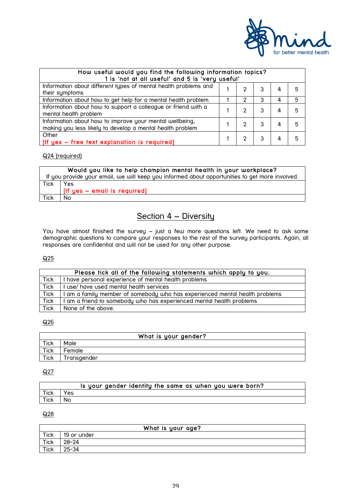![](_page_28_Picture_0.jpeg)

| How useful would you find the following information topics?<br>1 is 'not at all useful' and 5 is 'very useful'       |  |   |   |   |    |
|----------------------------------------------------------------------------------------------------------------------|--|---|---|---|----|
| Information about different types of mental health problems and<br>their symptoms                                    |  | 2 | 3 | 4 | 5  |
| Information about how to get help for a mental health problem                                                        |  | 2 |   | 4 | 5  |
| Information about how to support a colleague or friend with a<br>mental health problem                               |  | 2 | 3 | 4 | .5 |
| Information about how to improve your mental wellbeing,<br>making you less likely to develop a mental health problem |  | 2 | 3 | 4 | 5  |
| Other<br>[If yes - free text explanation is required]                                                                |  | 2 | 3 | 4 | 5  |

Q24 [required]

|             | Would you like to help champion mental health in your workplace?                               |
|-------------|------------------------------------------------------------------------------------------------|
|             | If you provide your email, we will keep you informed about opportunities to get more involved. |
| <b>Tick</b> | Yes                                                                                            |
|             | If yes - email is required]                                                                    |
| Tick        | No.                                                                                            |

## Section 4 – Diversity

You have almost finished the survey – just a few more questions left. We need to ask some demographic questions to compare your responses to the rest of the survey participants. Again, all responses are confidential and will not be used for any other purpose.

#### Q25

|             | Please tick all of the following statements which apply to you.             |
|-------------|-----------------------------------------------------------------------------|
| Tick        | I have personal experience of mental health problems                        |
| <b>Tick</b> | I use/ have used mental health services                                     |
| <b>Tick</b> | I am a family member of somebody who has experienced mental health problems |
| Tick        | I am a friend to somebody who has experienced mental health problems        |
| Tick        | None of the above.                                                          |

#### $Q26$

| What is your gender? |             |  |
|----------------------|-------------|--|
| <b>Tick</b>          | Male        |  |
| <b>Tick</b>          | Female      |  |
| <b>Tick</b>          | iransgender |  |

#### $Q27$

|             |     | Is your gender identity the same as when you were born? |
|-------------|-----|---------------------------------------------------------|
| <b>Tick</b> | Yes |                                                         |
| Tick        | No. |                                                         |

 $Q28$ 

|             | What is your age? |
|-------------|-------------------|
| Tick        | 19 or under       |
| Tick        | $20 - 24$         |
| <b>Tick</b> | 25-34             |